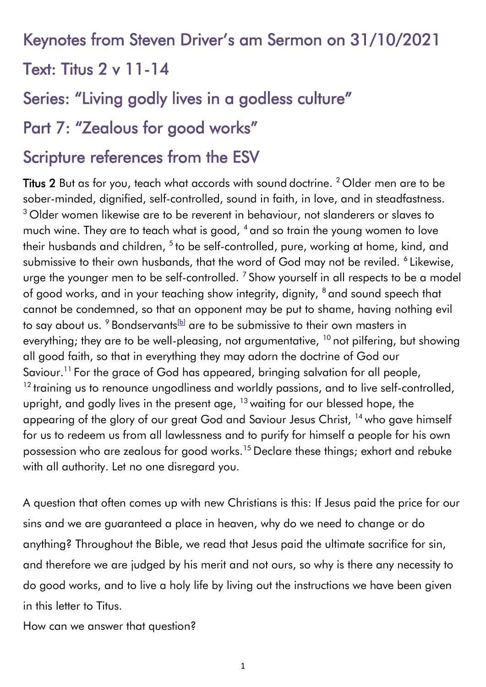# Keynotes from Steven Driver's am Sermon on 31/10/2021 Text: Titus 2 v 11-14

# Series: "Living godly lives in a godless culture"

## Part 7: "Zealous for good works"

# Scripture references from the ESV

Titus 2 But as for you, teach what accords with sound doctrine. <sup>2</sup> Older men are to be sober-minded, dignified, self-controlled, sound in faith, in love, and in steadfastness. <sup>3</sup> Older women likewise are to be reverent in behaviour, not slanderers or slaves to much wine. They are to teach what is good, <sup>4</sup> and so train the young women to love their husbands and children, <sup>5</sup> to be self-controlled, pure, working at home, kind, and submissive to their own husbands, that the word of God may not be reviled. <sup>6</sup> Likewise, urge the younger men to be self-controlled.  $^7$  Show yourself in all respects to be a model of good works, and in your teaching show integrity, dignity, <sup>8</sup> and sound speech that cannot be condemned, so that an opponent may be put to shame, having nothing evil to say about us.  $9$  Bondservants<sup>[\[b\]](https://www.biblegateway.com/passage/?search=Titus+2&version=ESV#fen-ESV-29901b)</sup> are to be submissive to their own masters in everything; they are to be well-pleasing, not argumentative,  $10$  not pilfering, but showing all good faith, so that in everything they may adorn the doctrine of God our Saviour.<sup>11</sup> For the grace of God has appeared, bringing salvation for all people, <sup>12</sup> training us to renounce ungodliness and worldly passions, and to live self-controlled, upright, and godly lives in the present age,  $13$  waiting for our blessed hope, the appearing of the glory of our great God and Saviour Jesus Christ, <sup>14</sup> who gave himself for us to redeem us from all lawlessness and to purify for himself a people for his own possession who are zealous for good works.<sup>15</sup> Declare these things; exhort and rebuke with all authority. Let no one disregard you.

A question that often comes up with new Christians is this: If Jesus paid the price for our sins and we are guaranteed a place in heaven, why do we need to change or do anything? Throughout the Bible, we read that Jesus paid the ultimate sacrifice for sin, and therefore we are judged by his merit and not ours, so why is there any necessity to do good works, and to live a holy life by living out the instructions we have been given in this letter to Titus.

How can we answer that question?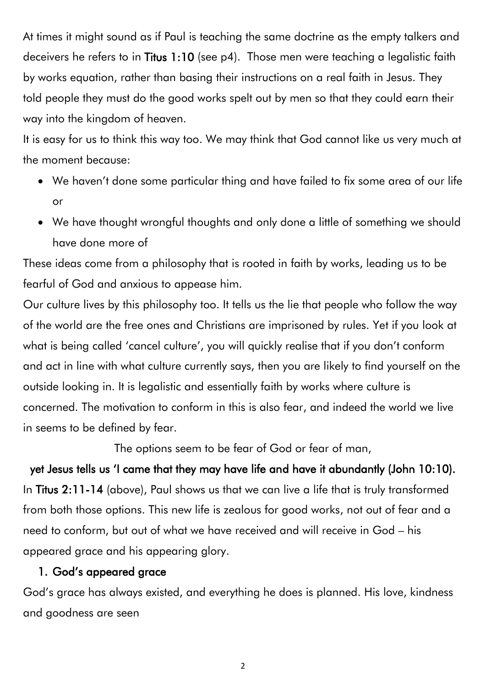At times it might sound as if Paul is teaching the same doctrine as the empty talkers and deceivers he refers to in Titus 1:10 (see p4). Those men were teaching a legalistic faith by works equation, rather than basing their instructions on a real faith in Jesus. They told people they must do the good works spelt out by men so that they could earn their way into the kingdom of heaven.

It is easy for us to think this way too. We may think that God cannot like us very much at the moment because:

- We haven't done some particular thing and have failed to fix some area of our life or
- We have thought wrongful thoughts and only done a little of something we should have done more of

These ideas come from a philosophy that is rooted in faith by works, leading us to be fearful of God and anxious to appease him.

Our culture lives by this philosophy too. It tells us the lie that people who follow the way of the world are the free ones and Christians are imprisoned by rules. Yet if you look at what is being called 'cancel culture', you will quickly realise that if you don't conform and act in line with what culture currently says, then you are likely to find yourself on the outside looking in. It is legalistic and essentially faith by works where culture is concerned. The motivation to conform in this is also fear, and indeed the world we live in seems to be defined by fear.

The options seem to be fear of God or fear of man,

yet Jesus tells us 'I came that they may have life and have it abundantly (John 10:10). In Titus 2:11-14 (above), Paul shows us that we can live a life that is truly transformed from both those options. This new life is zealous for good works, not out of fear and a need to conform, but out of what we have received and will receive in God – his appeared grace and his appearing glory.

#### 1. God's appeared grace

God's grace has always existed, and everything he does is planned. His love, kindness and goodness are seen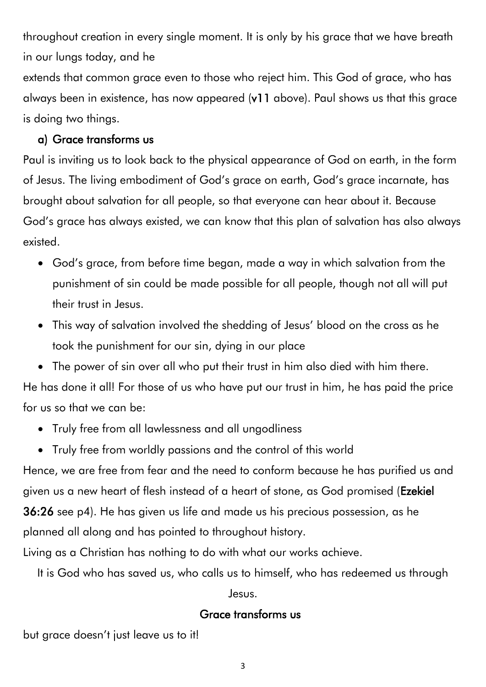throughout creation in every single moment. It is only by his grace that we have breath in our lungs today, and he

extends that common grace even to those who reject him. This God of grace, who has always been in existence, has now appeared (v11 above). Paul shows us that this grace is doing two things.

#### a) Grace transforms us

Paul is inviting us to look back to the physical appearance of God on earth, in the form of Jesus. The living embodiment of God's grace on earth, God's grace incarnate, has brought about salvation for all people, so that everyone can hear about it. Because God's grace has always existed, we can know that this plan of salvation has also always existed.

- God's grace, from before time began, made a way in which salvation from the punishment of sin could be made possible for all people, though not all will put their trust in Jesus.
- This way of salvation involved the shedding of Jesus' blood on the cross as he took the punishment for our sin, dying in our place
- The power of sin over all who put their trust in him also died with him there.

He has done it all! For those of us who have put our trust in him, he has paid the price for us so that we can be:

- Truly free from all lawlessness and all ungodliness
- Truly free from worldly passions and the control of this world

Hence, we are free from fear and the need to conform because he has purified us and given us a new heart of flesh instead of a heart of stone, as God promised (Ezekiel 36:26 see p4). He has given us life and made us his precious possession, as he planned all along and has pointed to throughout history.

Living as a Christian has nothing to do with what our works achieve.

It is God who has saved us, who calls us to himself, who has redeemed us through

Jesus.

#### Grace transforms us

but grace doesn't just leave us to it!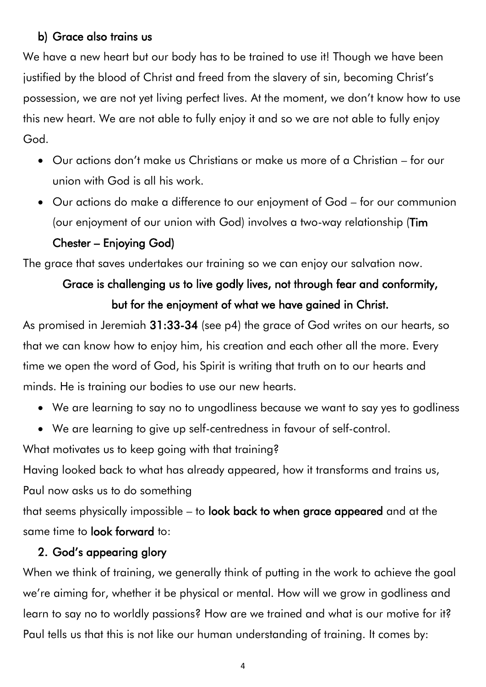#### b) Grace also trains us

We have a new heart but our body has to be trained to use it! Though we have been justified by the blood of Christ and freed from the slavery of sin, becoming Christ's possession, we are not yet living perfect lives. At the moment, we don't know how to use this new heart. We are not able to fully enjoy it and so we are not able to fully enjoy God.

- Our actions don't make us Christians or make us more of a Christian for our union with God is all his work.
- Our actions do make a difference to our enjoyment of God for our communion (our enjoyment of our union with God) involves a two-way relationship (Tim Chester – Enjoying God)

The grace that saves undertakes our training so we can enjoy our salvation now.

### Grace is challenging us to live godly lives, not through fear and conformity, but for the enjoyment of what we have gained in Christ.

As promised in Jeremiah 31:33-34 (see p4) the grace of God writes on our hearts, so that we can know how to enjoy him, his creation and each other all the more. Every time we open the word of God, his Spirit is writing that truth on to our hearts and minds. He is training our bodies to use our new hearts.

- We are learning to say no to ungodliness because we want to say yes to godliness
- We are learning to give up self-centredness in favour of self-control.

What motivates us to keep going with that training?

Having looked back to what has already appeared, how it transforms and trains us, Paul now asks us to do something

that seems physically impossible – to look back to when grace appeared and at the same time to look forward to:

#### 2. God's appearing glory

When we think of training, we generally think of putting in the work to achieve the goal we're aiming for, whether it be physical or mental. How will we grow in godliness and learn to say no to worldly passions? How are we trained and what is our motive for it? Paul tells us that this is not like our human understanding of training. It comes by: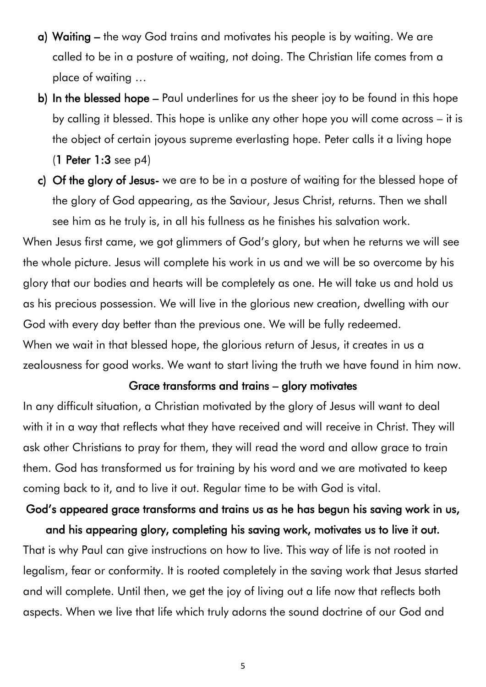- a) Waiting the way God trains and motivates his people is by waiting. We are called to be in a posture of waiting, not doing. The Christian life comes from a place of waiting …
- b) In the blessed hope Paul underlines for us the sheer joy to be found in this hope by calling it blessed. This hope is unlike any other hope you will come across – it is the object of certain joyous supreme everlasting hope. Peter calls it a living hope (1 Peter 1:3 see p4)
- c) Of the glory of Jesus- we are to be in a posture of waiting for the blessed hope of the glory of God appearing, as the Saviour, Jesus Christ, returns. Then we shall see him as he truly is, in all his fullness as he finishes his salvation work.

When Jesus first came, we got glimmers of God's glory, but when he returns we will see the whole picture. Jesus will complete his work in us and we will be so overcome by his glory that our bodies and hearts will be completely as one. He will take us and hold us as his precious possession. We will live in the glorious new creation, dwelling with our God with every day better than the previous one. We will be fully redeemed. When we wait in that blessed hope, the glorious return of Jesus, it creates in us a zealousness for good works. We want to start living the truth we have found in him now.

#### Grace transforms and trains – glory motivates

In any difficult situation, a Christian motivated by the glory of Jesus will want to deal with it in a way that reflects what they have received and will receive in Christ. They will ask other Christians to pray for them, they will read the word and allow grace to train them. God has transformed us for training by his word and we are motivated to keep coming back to it, and to live it out. Regular time to be with God is vital.

# God's appeared grace transforms and trains us as he has begun his saving work in us,

and his appearing glory, completing his saving work, motivates us to live it out. That is why Paul can give instructions on how to live. This way of life is not rooted in legalism, fear or conformity. It is rooted completely in the saving work that Jesus started and will complete. Until then, we get the joy of living out a life now that reflects both aspects. When we live that life which truly adorns the sound doctrine of our God and

5